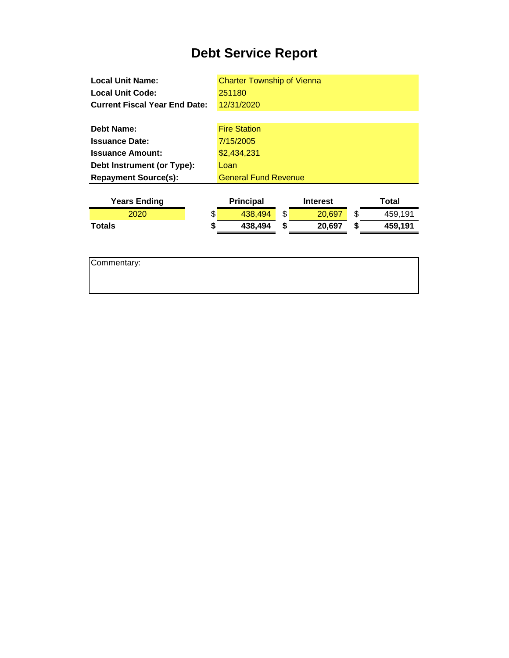## **Debt Service Report**

| <b>Local Unit Name:</b>              | <b>Charter Township of Vienna</b> |                 |               |
|--------------------------------------|-----------------------------------|-----------------|---------------|
| <b>Local Unit Code:</b>              | 251180                            |                 |               |
| <b>Current Fiscal Year End Date:</b> | 12/31/2020                        |                 |               |
|                                      |                                   |                 |               |
| <b>Debt Name:</b>                    | <b>Fire Station</b>               |                 |               |
| <b>Issuance Date:</b>                | 7/15/2005                         |                 |               |
| <b>Issuance Amount:</b>              | \$2,434,231                       |                 |               |
| Debt Instrument (or Type):           | Loan                              |                 |               |
| <b>Repayment Source(s):</b>          | <b>General Fund Revenue</b>       |                 |               |
|                                      |                                   |                 |               |
|                                      |                                   |                 |               |
| <b>Years Ending</b>                  | <b>Principal</b>                  | <b>Interest</b> | Total         |
| 2020                                 | \$<br>438,494                     | \$<br>20,697    | \$<br>459,191 |
| Totals                               | \$<br>438,494                     | \$<br>20,697    | \$<br>459,191 |
|                                      |                                   |                 |               |
|                                      |                                   |                 |               |
| Commentary:                          |                                   |                 |               |
|                                      |                                   |                 |               |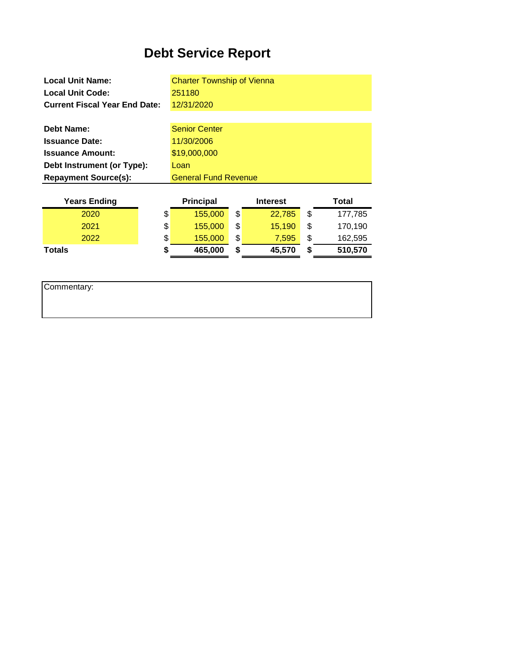## **Debt Service Report**

| Vaare Endina                         | <b>Drincinal</b><br>Total<br>Intoract |
|--------------------------------------|---------------------------------------|
| <b>Repayment Source(s):</b>          | <b>General Fund Revenue</b>           |
| Debt Instrument (or Type):           | Loan                                  |
| <b>Issuance Amount:</b>              | \$19,000,000                          |
| <b>Issuance Date:</b>                | 11/30/2006                            |
| Debt Name:                           | <b>Senior Center</b>                  |
|                                      |                                       |
| <b>Current Fiscal Year End Date:</b> | 12/31/2020                            |
| <b>Local Unit Code:</b>              | 251180                                |
| <b>Local Unit Name:</b>              | <b>Charter Township of Vienna</b>     |

| <b>Years Ending</b> | <b>Principal</b> | <b>Interest</b> | Total         |
|---------------------|------------------|-----------------|---------------|
| 2020                | \$<br>155,000    | \$<br>22.785    | \$<br>177,785 |
| 2021                | \$<br>155,000    | \$<br>15.190    | 170,190       |
| 2022                | \$<br>155,000    | \$<br>7.595     | \$<br>162,595 |
| <b>Totals</b>       | 465,000          | \$<br>45,570    | 510,570       |
|                     |                  |                 |               |

Commentary: